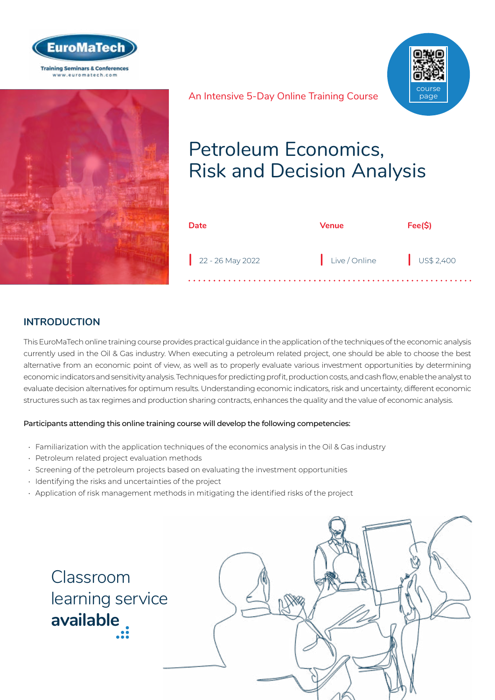



# Petroleum Economics, An Intensive 5-Day Online Training Course course page

| <b>Date</b>        | Venue         | Fee(S)    |
|--------------------|---------------|-----------|
| $22 - 26$ May 2022 | Live / Online | US\$2,400 |

Risk and Decision Analysis

## **INTRODUCTION**

This EuroMaTech online training course provides practical guidance in the application of the techniques of the economic analysis currently used in the Oil & Gas industry. When executing a petroleum related project, one should be able to choose the best alternative from an economic point of view, as well as to properly evaluate various investment opportunities by determining economic indicators and sensitivity analysis. Techniques for predicting profit, production costs, and cash flow, enable the analyst to evaluate decision alternatives for optimum results. Understanding economic indicators, risk and uncertainty, different economic structures such as tax regimes and production sharing contracts, enhances the quality and the value of economic analysis.

## Participants attending this online training course will develop the following competencies:

- Familiarization with the application techniques of the economics analysis in the Oil & Gas industry
- Petroleum related project evaluation methods
- Screening of the petroleum projects based on evaluating the investment opportunities
- Identifying the risks and uncertainties of the project
- Application of risk management methods in mitigating the identified risks of the project



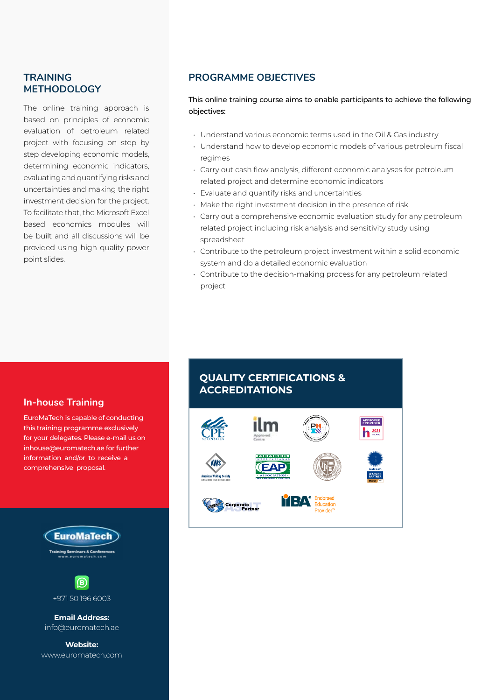## **TRAINING METHODOLOGY**

The online training approach is based on principles of economic evaluation of petroleum related project with focusing on step by step developing economic models, determining economic indicators, evaluating and quantifying risks and uncertainties and making the right investment decision for the project. To facilitate that, the Microsoft Excel based economics modules will be built and all discussions will be provided using high quality power point slides.

## **PROGRAMME OBJECTIVES**

This online training course aims to enable participants to achieve the following objectives:

- Understand various economic terms used in the Oil & Gas industry
- Understand how to develop economic models of various petroleum fiscal regimes
- Carry out cash flow analysis, different economic analyses for petroleum related project and determine economic indicators
- Evaluate and quantify risks and uncertainties
- Make the right investment decision in the presence of risk
- Carry out a comprehensive economic evaluation study for any petroleum related project including risk analysis and sensitivity study using spreadsheet
- Contribute to the petroleum project investment within a solid economic system and do a detailed economic evaluation
- Contribute to the decision-making process for any petroleum related project

## **In-house Training**

EuroMaTech is capable of conducting this training programme exclusively for your delegates. Please e-mail us on inhouse@euromatech.ae for further information and/or to receive a comprehensive proposal.





**Email Address:** info@euromatech.ae

**Website:** www.euromatech.com

## **QUALITY CERTIFICATIONS & ACCREDITATIONS**

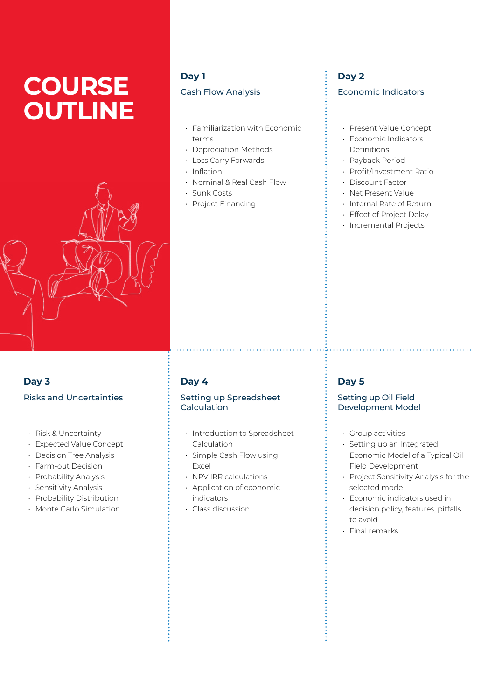# **COURSE OUTLINE**



## **Day 1** Cash Flow Analysis

- Familiarization with Economic terms
- Depreciation Methods
- Loss Carry Forwards
- Inflation
- Nominal & Real Cash Flow
- Sunk Costs
- Project Financing

## **Day 2** Economic Indicators

- Present Value Concept
- Economic Indicators Definitions
- Payback Period
- Profit/Investment Ratio
- Discount Factor
- Net Present Value
- Internal Rate of Return
- Effect of Project Delay
- Incremental Projects

## **Day 4**

### Setting up Spreadsheet Calculation

- Introduction to Spreadsheet Calculation
- Simple Cash Flow using Excel
- NPV IRR calculations
- Application of economic indicators
- Class discussion

## **Day 5**

## Setting up Oil Field Development Model

- Group activities
- Setting up an Integrated Economic Model of a Typical Oil Field Development

- Project Sensitivity Analysis for the selected model
- Economic indicators used in decision policy, features, pitfalls to avoid
- Final remarks

## **Day 3** Risks and Uncertainties

- Risk & Uncertainty
- Expected Value Concept
- Decision Tree Analysis
- Farm-out Decision
- Probability Analysis
- Sensitivity Analysis
- Probability Distribution
- Monte Carlo Simulation